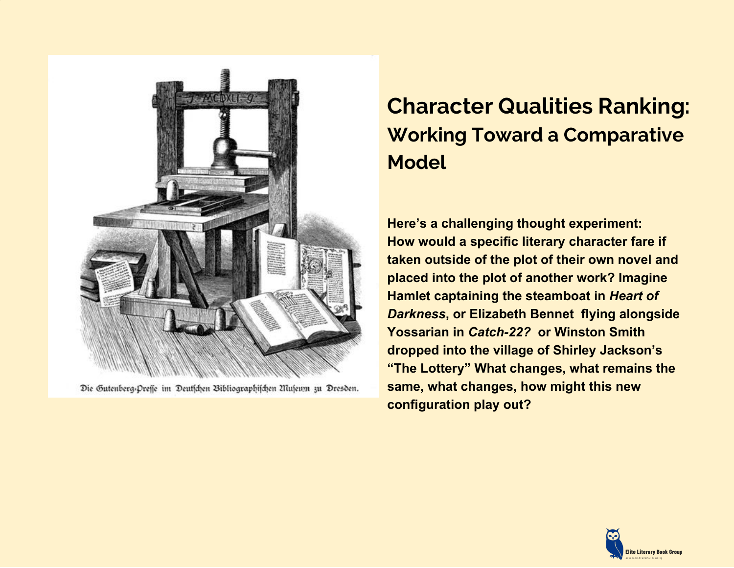

Die Gutenberg-Preffe im Deutschen Bibliographischen Museum zu Dresden.

## **Character Qualities Ranking: Working Toward a Comparative Model**

**Here's a challenging thought experiment: How would a specific literary character fare if taken outside of the plot of their own novel and placed into the plot of another work? Imagine Hamlet captaining the steamboat in** *Heart of Darkness***, or Elizabeth Bennet flying alongside Yossarian in** *Catch-22?* **or Winston Smith dropped into the village of Shirley Jackson's "The Lottery" What changes, what remains the same, what changes, how might this new configuration play out?**

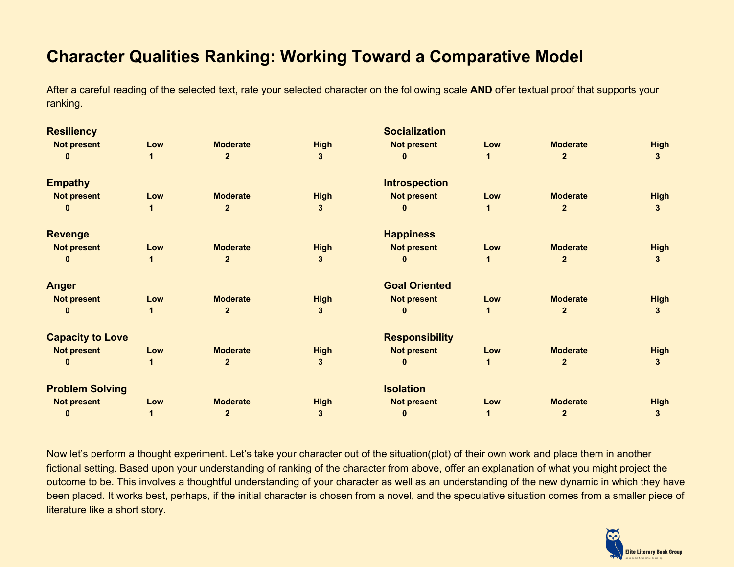## **Character Qualities Ranking: Working Toward a Comparative Model**

After a careful reading of the selected text, rate your selected character on the following scale **AND** offer textual proof that supports your ranking.

| <b>Resiliency</b>       |     |                 |             | <b>Socialization</b>  |     |                 |                |
|-------------------------|-----|-----------------|-------------|-----------------------|-----|-----------------|----------------|
| <b>Not present</b>      | Low | <b>Moderate</b> | <b>High</b> | <b>Not present</b>    | Low | <b>Moderate</b> | <b>High</b>    |
|                         |     | $\overline{2}$  | 3           |                       |     | $\overline{2}$  | 3              |
| <b>Empathy</b>          |     |                 |             | <b>Introspection</b>  |     |                 |                |
| <b>Not present</b>      | Low | <b>Moderate</b> | <b>High</b> | <b>Not present</b>    | Low | <b>Moderate</b> | <b>High</b>    |
|                         |     | $\mathbf{2}$    | 3           |                       |     | $\mathbf{2}$    | 3 <sup>1</sup> |
| <b>Revenge</b>          |     |                 |             | <b>Happiness</b>      |     |                 |                |
| <b>Not present</b>      | Low | <b>Moderate</b> | <b>High</b> | <b>Not present</b>    | Low | <b>Moderate</b> | <b>High</b>    |
|                         |     | $\mathbf{2}$    | 3           |                       |     | $\overline{2}$  | 3              |
| <b>Anger</b>            |     |                 |             | <b>Goal Oriented</b>  |     |                 |                |
| <b>Not present</b>      | Low | <b>Moderate</b> | <b>High</b> | <b>Not present</b>    | Low | <b>Moderate</b> | <b>High</b>    |
|                         |     | $\overline{2}$  | 3           |                       |     |                 | $\mathbf{3}$   |
| <b>Capacity to Love</b> |     |                 |             | <b>Responsibility</b> |     |                 |                |
| <b>Not present</b>      | Low | <b>Moderate</b> | <b>High</b> | <b>Not present</b>    | Low | <b>Moderate</b> | <b>High</b>    |
|                         |     | $\overline{2}$  | 3           |                       |     | $\mathbf{2}$    | 3              |
| <b>Problem Solving</b>  |     |                 |             | <b>Isolation</b>      |     |                 |                |
| <b>Not present</b>      | Low | <b>Moderate</b> | <b>High</b> | <b>Not present</b>    | Low | <b>Moderate</b> | <b>High</b>    |
| 0                       |     | $\mathbf{2}$    | 3           | O                     |     | $\mathbf{2}$    | 3              |
|                         |     |                 |             |                       |     |                 |                |

Now let's perform a thought experiment. Let's take your character out of the situation(plot) of their own work and place them in another fictional setting. Based upon your understanding of ranking of the character from above, offer an explanation of what you might project the outcome to be. This involves a thoughtful understanding of your character as well as an understanding of the new dynamic in which they have been placed. It works best, perhaps, if the initial character is chosen from a novel, and the speculative situation comes from a smaller piece of literature like a short story.

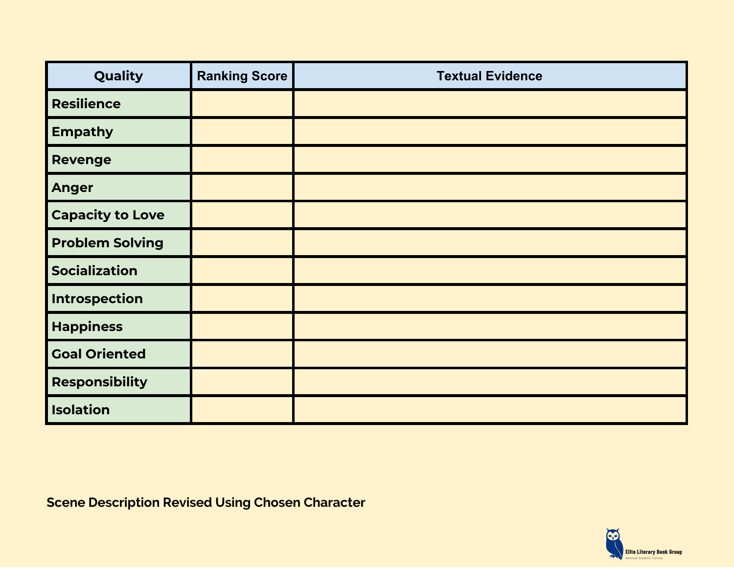| Quality                 | <b>Ranking Score</b> | <b>Textual Evidence</b> |
|-------------------------|----------------------|-------------------------|
| <b>Resilience</b>       |                      |                         |
| <b>Empathy</b>          |                      |                         |
| <b>Revenge</b>          |                      |                         |
| <b>Anger</b>            |                      |                         |
| <b>Capacity to Love</b> |                      |                         |
| <b>Problem Solving</b>  |                      |                         |
| <b>Socialization</b>    |                      |                         |
| Introspection           |                      |                         |
| <b>Happiness</b>        |                      |                         |
| <b>Goal Oriented</b>    |                      |                         |
| <b>Responsibility</b>   |                      |                         |
| <b>Isolation</b>        |                      |                         |

**Scene Description Revised Using Chosen Character**